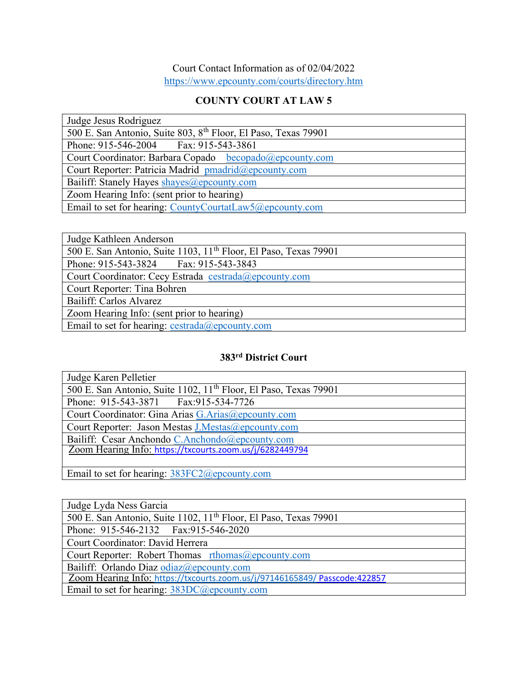## Court Contact Information as of 02/04/2022 https://www.epcounty.com/courts/directory.htm

## COUNTY COURT AT LAW 5

| Judge Jesus Rodriguez                                                      |
|----------------------------------------------------------------------------|
| 500 E. San Antonio, Suite 803, 8 <sup>th</sup> Floor, El Paso, Texas 79901 |
| Phone: 915-546-2004 Fax: 915-543-3861                                      |
| Court Coordinator: Barbara Copado becopado@epcounty.com                    |
| Court Reporter: Patricia Madrid pmadrid@epcounty.com                       |
| Bailiff: Stanely Hayes shayes@epcounty.com                                 |
| Zoom Hearing Info: (sent prior to hearing)                                 |
| Email to set for hearing: CountyCourtatLaw5@epcounty.com                   |

| Judge Kathleen Anderson                                                      |
|------------------------------------------------------------------------------|
| 500 E. San Antonio, Suite 1103, 11 <sup>th</sup> Floor, El Paso, Texas 79901 |
| Phone: 915-543-3824 Fax: 915-543-3843                                        |
| Court Coordinator: Cecy Estrada cestrada@epcounty.com                        |
| Court Reporter: Tina Bohren                                                  |
| Bailiff: Carlos Alvarez                                                      |
| Zoom Hearing Info: (sent prior to hearing)                                   |
| Email to set for hearing: $cestrada@epcounty.com$                            |

## 383rd District Court

| Judge Karen Pelletier                                                        |
|------------------------------------------------------------------------------|
| 500 E. San Antonio, Suite 1102, 11 <sup>th</sup> Floor, El Paso, Texas 79901 |
| Phone: 915-543-3871 Fax: 915-534-7726                                        |
| Court Coordinator: Gina Arias G.Arias@epcounty.com                           |
| Court Reporter: Jason Mestas J.Mestas@epcounty.com                           |
| Bailiff: Cesar Anchondo C.Anchondo@epcounty.com                              |
| Zoom Hearing Info: https://txcourts.zoom.us/j/6282449794                     |
|                                                                              |
| Email to set for hearing: 383FC2@epcounty.com                                |

| Judge Lyda Ness Garcia                                                       |
|------------------------------------------------------------------------------|
| 500 E. San Antonio, Suite 1102, 11 <sup>th</sup> Floor, El Paso, Texas 79901 |
| Phone: 915-546-2132  Fax: 915-546-2020                                       |
| Court Coordinator: David Herrera                                             |
| Court Reporter: Robert Thomas $r$ thomas $@$ epcounty.com                    |
| Bailiff: Orlando Diaz odiaz@epcounty.com                                     |
| Zoom Hearing Info: https://txcourts.zoom.us/j/97146165849/ Passcode:422857   |
| Email to set for hearing: 383DC@epcounty.com                                 |